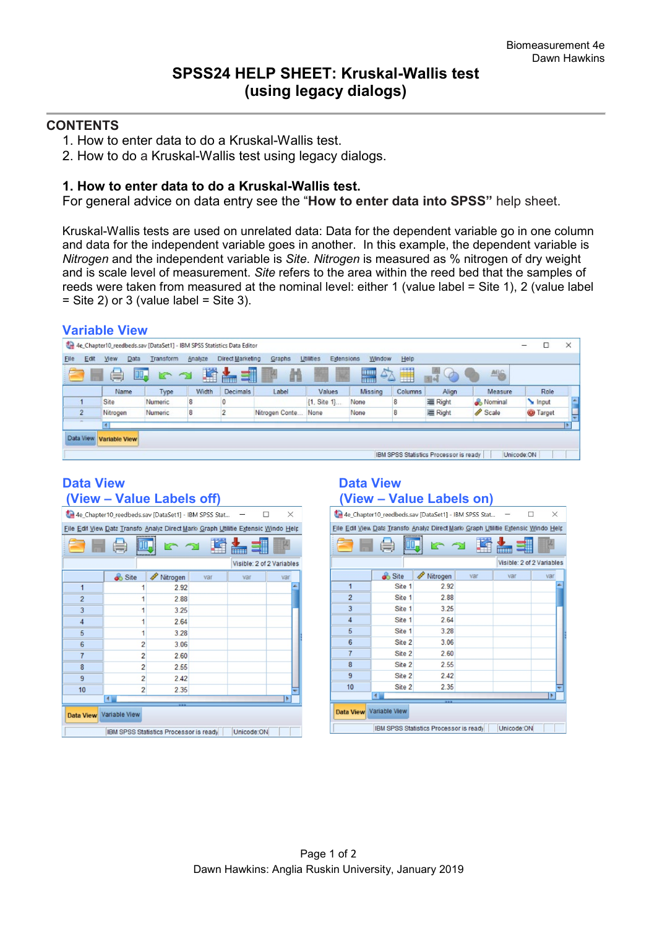### **CONTENTS**

- 1. How to enter data to do a Kruskal-Wallis test.
- 2. How to do a Kruskal-Wallis test using legacy dialogs.

### **1. How to enter data to do a Kruskal-Wallis test.**

For general advice on data entry see the "**How to enter data into SPSS"** help sheet.

Kruskal-Wallis tests are used on unrelated data: Data for the dependent variable go in one column and data for the independent variable goes in another. In this example, the dependent variable is *Nitrogen* and the independent variable is *Site*. *Nitrogen* is measured as % nitrogen of dry weight and is scale level of measurement. *Site* refers to the area within the reed bed that the samples of reeds were taken from measured at the nominal level: either 1 (value label = Site 1), 2 (value label  $=$  Site 2) or 3 (value label  $=$  Site 3).

|      |                | <b>Variable View</b> |                                                                        |         |                      |                |                         |                |         |                                        |            |            |                 |          |
|------|----------------|----------------------|------------------------------------------------------------------------|---------|----------------------|----------------|-------------------------|----------------|---------|----------------------------------------|------------|------------|-----------------|----------|
|      |                |                      | 4e_Chapter10_reedbeds.sav [DataSet1] - IBM SPSS Statistics Data Editor |         |                      |                |                         |                |         |                                        |            |            |                 | $\times$ |
| Elle | Edit           | Data<br>View         | Transform                                                              | Analyze | Direct Marketing     | Graphs         | Utilities<br>Extensions | Window         | Help    |                                        |            |            |                 |          |
|      | Ħ              | $\left( =\right)$    | 吗                                                                      | 蹖       | 51<br><b>Address</b> | 譱              | 羄                       | $\Delta$<br>H  | H       | D                                      | <b>ABG</b> |            |                 |          |
|      |                | Name                 | Type                                                                   | Width   | Decimals             | Label          | Values                  | <b>Missing</b> | Columns | Align                                  | Measure    |            | Role            |          |
|      |                | Site                 | Numeric                                                                | 8       |                      |                | {1, Site 1}             | None           | 8       | 三 Right                                | & Nominal  |            | Input           | $\Delta$ |
|      | $\overline{2}$ | Nitrogen             | Numeric                                                                | 8       |                      | Nitrogen Conte | None                    | None           | 8       | 三 Right                                | Scale      |            | <b>O</b> Target |          |
|      |                |                      |                                                                        |         |                      |                |                         |                |         |                                        |            |            |                 |          |
|      | Data View      | <b>Variable View</b> |                                                                        |         |                      |                |                         |                |         |                                        |            |            |                 |          |
|      |                |                      |                                                                        |         |                      |                |                         |                |         | IBM SPSS Statistics Processor is ready |            | Unicode:ON |                 |          |

## **Data View Contract Contract Contract Data View Data View Contract Contract Contract Contract Contract Contract Contract Contract Contract Contract Contract Contract Contract Contract Contract Contract Contract Contract Co**

| 4e_Chapter10_reedbeds.sav [DataSet1] - IBM SPSS Stat<br>$\times$                  |                |               |     |     |     |  |  |  |  |
|-----------------------------------------------------------------------------------|----------------|---------------|-----|-----|-----|--|--|--|--|
| File Edil View Data Transfo Analyz Direct Mark Graph Utilitie Extensic Windo Help |                |               |     |     |     |  |  |  |  |
|                                                                                   |                |               |     |     |     |  |  |  |  |
| Visible: 2 of 2 Variables                                                         |                |               |     |     |     |  |  |  |  |
|                                                                                   | Site           | P<br>Nitrogen | var | var | var |  |  |  |  |
| 1                                                                                 |                | 2.92          |     |     |     |  |  |  |  |
| $\overline{2}$                                                                    |                | 2.88          |     |     |     |  |  |  |  |
| 3                                                                                 | 1              | 3.25          |     |     |     |  |  |  |  |
| $\overline{4}$                                                                    | 1              | 2.64          |     |     |     |  |  |  |  |
| 5                                                                                 | 1              | 3.28          |     |     |     |  |  |  |  |
| $6\phantom{1}6$                                                                   | $\overline{2}$ | 3.06          |     |     |     |  |  |  |  |
| $\overline{7}$                                                                    | $\overline{2}$ | 2.60          |     |     |     |  |  |  |  |
| 8                                                                                 | $\overline{2}$ | 2.55          |     |     |     |  |  |  |  |
| 9                                                                                 | $\overline{2}$ | 2.42          |     |     |     |  |  |  |  |
| 10                                                                                | $\overline{2}$ | 2.35          |     |     |     |  |  |  |  |
| $\blacksquare$<br>۱                                                               |                |               |     |     |     |  |  |  |  |
| Data View Variable View                                                           |                |               |     |     |     |  |  |  |  |
| Unicode:ON<br>IBM SPSS Statistics Processor is ready                              |                |               |     |     |     |  |  |  |  |

# **(View – Value Labels off) (View – Value Labels on)**

| 4e Chapter10_reedbeds.sav [DataSet1] - IBM SPSS Stat<br>X                         |        |          |     |     |     |  |  |  |  |
|-----------------------------------------------------------------------------------|--------|----------|-----|-----|-----|--|--|--|--|
| File Edil View Data Transfo Analyz Direct Mark Graph Utilitie Extensic Windo Help |        |          |     |     |     |  |  |  |  |
|                                                                                   |        |          |     |     |     |  |  |  |  |
| Visible: 2 of 2 Variables                                                         |        |          |     |     |     |  |  |  |  |
|                                                                                   | Site   | Nitrogen | var | var | var |  |  |  |  |
| $\mathbf{1}$                                                                      | Site 1 | 2.92     |     |     | ÷   |  |  |  |  |
| $\overline{2}$                                                                    | Site 1 | 2.88     |     |     |     |  |  |  |  |
| 3                                                                                 | Site 1 | 3.25     |     |     |     |  |  |  |  |
| $\overline{4}$                                                                    | Site 1 | 2.64     |     |     |     |  |  |  |  |
| 5                                                                                 | Site 1 | 3.28     |     |     |     |  |  |  |  |
| 6                                                                                 | Site 2 | 3.06     |     |     |     |  |  |  |  |
| $\overline{7}$                                                                    | Site 2 | 2.60     |     |     |     |  |  |  |  |
| 8                                                                                 | Site 2 | 2.55     |     |     |     |  |  |  |  |
| 9                                                                                 | Site 2 | 2.42     |     |     |     |  |  |  |  |
| 10                                                                                | Site 2 | 2.35     |     |     |     |  |  |  |  |
| ٠<br>4                                                                            |        |          |     |     |     |  |  |  |  |
| Data View Variable View                                                           |        |          |     |     |     |  |  |  |  |
| Unicode:ON<br>IBM SPSS Statistics Processor is ready                              |        |          |     |     |     |  |  |  |  |